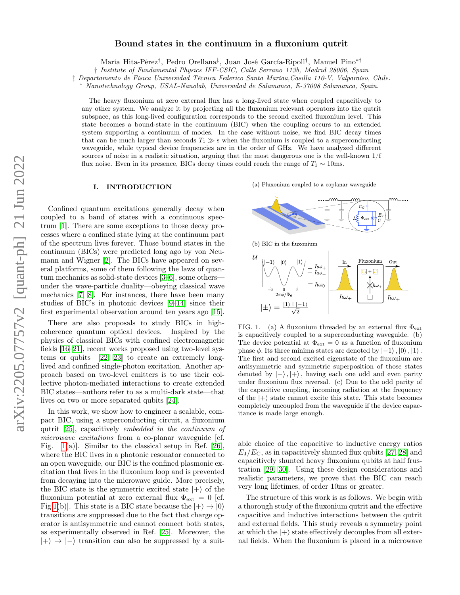# arXiv:2205.07757v2 [quant-ph] 21 Jun 2022 arXiv:2205.07757v2 [quant-ph] 21 Jun 2022

# Bound states in the continuum in a fluxonium qutrit

María Hita-Pérez† , Pedro Orellana‡ , Juan José García-Ripoll† , Manuel Pino∗†

† Institute of Fundamental Physics IFF-CSIC, Calle Serrano 113b, Madrid 28006, Spain

‡ Departamento de Física Universidad Técnica Federico Santa Maríaa,Casilla 110-V, Valparaíso, Chile.

<sup>∗</sup> Nanotechnology Group, USAL-Nanolab, Universidad de Salamanca, E-37008 Salamanca, Spain.

The heavy fluxonium at zero external flux has a long-lived state when coupled capacitively to any other system. We analyze it by projecting all the fluxonium relevant operators into the qutrit subspace, as this long-lived configuration corresponds to the second excited fluxonium level. This state becomes a bound-state in the continuum (BIC) when the coupling occurs to an extended system supporting a continuum of modes. In the case without noise, we find BIC decay times that can be much larger than seconds  $T_1 \gg s$  when the fluxonium is coupled to a superconducting waveguide, while typical device frequencies are in the order of GHz. We have analyzed different sources of noise in a realistic situation, arguing that the most dangerous one is the well-known 1/f flux noise. Even in its presence, BICs decay times could reach the range of  $T_1 \sim 10$ ms.

### I. INTRODUCTION

Confined quantum excitations generally decay when coupled to a band of states with a continuous spectrum [\[1\]](#page-5-0). There are some exceptions to those decay processes where a confined state lying at the continuum part of the spectrum lives forever. Those bound states in the continuum (BICs) were predicted long ago by von Neumann and Wigner [\[2\]](#page-5-1). The BICs have appeared on several platforms, some of them following the laws of quantum mechanics as solid-state devices [\[3–](#page-5-2)[6\]](#page-6-0), some others under the wave-particle duality—obeying classical wave mechanics [\[7,](#page-6-1) [8\]](#page-6-2). For instances, there have been many studies of BIC's in photonic devices [\[9–](#page-6-3)[14\]](#page-6-4) since their first experimental observation around ten years ago [\[15\]](#page-6-5).

There are also proposals to study BICs in highcoherence quantum optical devices. Inspired by the physics of classical BICs with confined electromagnetic fields [\[16–](#page-6-6)[21\]](#page-6-7), recent works proposed using two-level systems or qubits [\[22,](#page-6-8) [23\]](#page-6-9) to create an extremely longlived and confined single-photon excitation. Another approach based on two-level emitters is to use their collective photon-mediated interactions to create extended BIC states—authors refer to as a multi-dark state—that lives on two or more separated qubits [\[24\]](#page-6-10).

In this work, we show how to engineer a scalable, compact BIC, using a superconducting circuit, a fluxonium qutrit [\[25\]](#page-6-11), capacitively embedded in the continuum of microwave excitations from a co-planar waveguide [cf. Fig.  $1(a)$ ]. Similar to the classical setup in Ref. [\[26\]](#page-6-12), where the BIC lives in a photonic resonator connected to an open waveguide, our BIC is the confined plasmonic excitation that lives in the fluxonium loop and is prevented from decaying into the microwave guide. More precisely, the BIC state is the symmetric excited state  $|+\rangle$  of the fluxonium potential at zero external flux  $\Phi_{ext} = 0$  [cf. Fig [1\(](#page-0-0)b)]. This state is a BIC state because the  $|+\rangle \rightarrow |0\rangle$ transitions are suppressed due to the fact that charge operator is antisymmetric and cannot connect both states, as experimentally observed in Ref. [\[25\]](#page-6-11). Moreover, the  $|+\rangle \rightarrow |-\rangle$  transition can also be suppressed by a suit(a) Fluxonium coupled to a coplanar waveguide



(b) BIC in the fluxonium



<span id="page-0-0"></span>FIG. 1. (a) A fluxonium threaded by an external flux  $\Phi_{\text{ext}}$ is capacitively coupled to a superconducting waveguide. (b) The device potential at  $\Phi_{\text{ext}} = 0$  as a function of fluxonium phase  $\phi$ . Its three minima states are denoted by  $|-1\rangle$ ,  $|0\rangle$ ,  $|1\rangle$ . The first and second excited eigenstate of the fluxonium are antisymmetric and symmetric superposition of those states denoted by  $|-\rangle$ ,  $|+\rangle$ , having each one odd and even parity under fluxonium flux reversal. (c) Due to the odd parity of the capacitive coupling, incoming radiation at the frequency of the  $|+\rangle$  state cannot excite this state. This state becomes completely uncoupled from the waveguide if the device capacitance is made large enough.

able choice of the capacitive to inductive energy ratios  $E_{\rm I}/E_{\rm C}$ , as in capacitively shunted flux qubits [\[27,](#page-6-13) [28\]](#page-6-14) and capacitively shunted heavy fluxonium qubits at half frustration [\[29,](#page-6-15) [30\]](#page-6-16). Using these design considerations and realistic parameters, we prove that the BIC can reach very long lifetimes, of order 10ms or greater.

The structure of this work is as follows. We begin with a thorough study of the fluxonium qutrit and the effective capacitive and inductive interactions between the qutrit and external fields. This study reveals a symmetry point at which the  $|+\rangle$  state effectively decouples from all external fields. When the fluxonium is placed in a microwave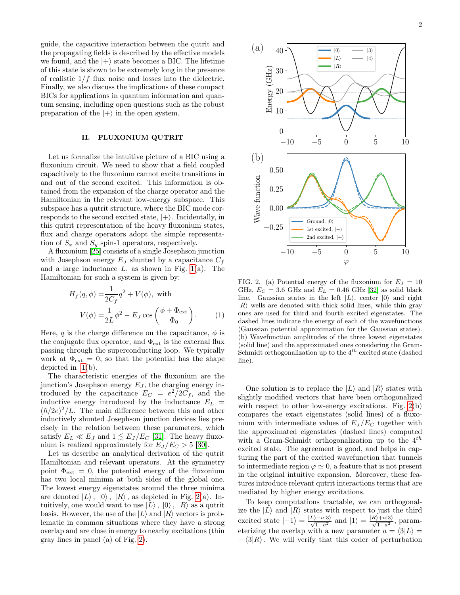guide, the capacitive interaction between the qutrit and the propagating fields is described by the effective models we found, and the  $|+\rangle$  state becomes a BIC. The lifetime of this state is shown to be extremely long in the presence of realistic  $1/f$  flux noise and losses into the dielectric. Finally, we also discuss the implications of these compact BICs for applications in quantum information and quantum sensing, including open questions such as the robust preparation of the  $|+\rangle$  in the open system.

# II. FLUXONIUM QUTRIT

Let us formalize the intuitive picture of a BIC using a fluxonium circuit. We need to show that a field coupled capacitively to the fluxonium cannot excite transitions in and out of the second excited. This information is obtained from the expansion of the charge operator and the Hamiltonian in the relevant low-energy subspace. This subspace has a qutrit structure, where the BIC mode corresponds to the second excited state,  $|+\rangle$ . Incidentally, in this qutrit representation of the heavy fluxonium states, flux and charge operators adopt the simple representation of  $S_x$  and  $S_y$  spin-1 operators, respectively.

A fluxonium [\[25\]](#page-6-11) consists of a single Josephson junction with Josephson energy  $E_J$  shunted by a capacitance  $C_f$ and a large inductance  $L$ , as shown in Fig. [1\(](#page-0-0)a). The Hamiltonian for such a system is given by:

$$
H_f(q, \phi) = \frac{1}{2C_f} q^2 + V(\phi), \text{ with}
$$

$$
V(\phi) = \frac{1}{2L} \phi^2 - E_J \cos\left(\frac{\phi + \Phi_{\text{ext}}}{\Phi_0}\right).
$$
 (1)

Here, q is the charge difference on the capacitance,  $\phi$  is the conjugate flux operator, and  $\Phi_{\text{ext}}$  is the external flux passing through the superconducting loop. We typically work at  $\Phi_{ext} = 0$ , so that the potential has the shape depicted in [1\(](#page-0-0)b).

The characteristic energies of the fluxonium are the junction's Josephson energy  $E_J$ , the charging energy introduced by the capacitance  $E_C = e^2/2C_f$ , and the inductive energy introduced by the inductance  $E_L$  =  $(\hbar/2e)^2/L$ . The main difference between this and other inductively shunted Josephson junction devices lies precisely in the relation between these parameters, which satisfy  $E_L \ll E_J$  and  $1 \lesssim E_J / E_C$  [\[31\]](#page-6-17). The heavy fluxonium is realized approximately for  $E_J/E_C > 5$  [\[30\]](#page-6-16).

Let us describe an analytical derivation of the qutrit Hamiltonian and relevant operators. At the symmetry point  $\Phi_{\text{ext}} = 0$ , the potential energy of the fluxonium has two local minima at both sides of the global one. The lowest energy eigenstates around the three minima are denoted  $|L\rangle$ ,  $|0\rangle$ ,  $|R\rangle$ , as depicted in Fig. [2\(](#page-1-0)a). Intuitively, one would want to use  $|L\rangle$ ,  $|0\rangle$ ,  $|R\rangle$  as a qutrit basis. However, the use of the  $|L\rangle$  and  $|R\rangle$  vectors is problematic in common situations where they have a strong overlap and are close in energy to nearby excitations (thin gray lines in panel (a) of Fig. [2\)](#page-1-0).



<span id="page-1-0"></span>FIG. 2. (a) Potential energy of the fluxonium for  $E_J = 10$ GHz,  $E_C = 3.6$  GHz and  $E_L = 0.46$  GHz [\[32\]](#page-6-18) as solid black line. Gaussian states in the left  $|L\rangle$ , center  $|0\rangle$  and right  $|R\rangle$  wells are denoted with thick solid lines, while thin gray ones are used for third and fourth excited eigenstates. The dashed lines indicate the energy of each of the wavefunctions (Gaussian potential approximation for the Gaussian states). (b) Wavefunction amplitudes of the three lowest eigenstates (solid line) and the approximated ones considering the Gram-Schmidt orthogonalization up to the  $4^{th}$  excited state (dashed line).

One solution is to replace the  $|L\rangle$  and  $|R\rangle$  states with slightly modified vectors that have been orthogonalized with respect to other low-energy excitations. Fig. [2\(](#page-1-0)b) compares the exact eigenstates (solid lines) of a fluxonium with intermediate values of  $E_J/E_C$  together with the approximated eigenstates (dashed lines) computed with a Gram-Schmidt orthogonalization up to the  $4^{th}$ excited state. The agreement is good, and helps in capturing the part of the excited wavefunction that tunnels to intermediate region  $\varphi \simeq 0$ , a feature that is not present in the original intuitive expansion. Moreover, these features introduce relevant qutrit interactions terms that are mediated by higher energy excitations.

To keep computations tractable, we can orthogonalize the  $|L\rangle$  and  $|R\rangle$  states with respect to just the third excited state  $|-1\rangle = \frac{|L\rangle - a|3\rangle}{\sqrt{1-a^2}}$  and  $|1\rangle = \frac{|R\rangle + a|3\rangle}{\sqrt{1-a^2}}$ , parameterizing the overlap with a new parameter  $a = \langle 3|L \rangle =$  $-\langle 3|R\rangle$ . We will verify that this order of perturbation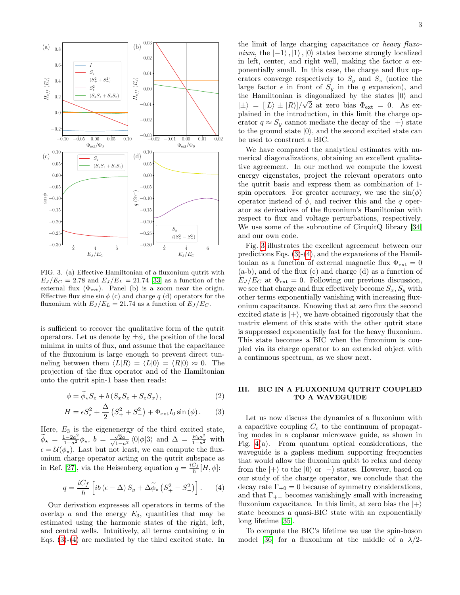

<span id="page-2-2"></span>FIG. 3. (a) Effective Hamiltonian of a fluxonium qutrit with  $E_J/E_C = 2.78$  and  $E_J/E_L = 21.74$  [\[33\]](#page-6-19) as a function of the external flux  $(\Phi_{ext})$ . Panel (b) is a zoom near the origin. Effective flux sine  $\sin \phi$  (c) and charge q (d) operators for the fluxonium with  $E_J/E_L = 21.74$  as a function of  $E_J/E_C$ .

is sufficient to recover the qualitative form of the qutrit operators. Let us denote by  $\pm \phi_{\star}$  the position of the local minima in units of flux, and assume that the capacitance of the fluxonium is large enough to prevent direct tunneling between them  $\langle L|R \rangle = \langle L|0 \rangle = \langle R|0 \rangle \approx 0$ . The projection of the flux operator and of the Hamiltonian onto the qutrit spin-1 base then reads:

$$
\phi = \widetilde{\phi}_{\star} S_z + b \left( S_x S_z + S_z S_x \right),\tag{2}
$$

$$
H = \epsilon S_z^2 + \frac{\Delta}{2} \left( S_+^2 + S_-^2 \right) + \Phi_{\text{ext}} I_0 \sin \left( \phi \right). \tag{3}
$$

Here,  $E_3$  is the eigenenergy of the third excited state,  $\widetilde{\phi}_{\star} = \frac{1-2a^2}{1-a^2} \phi_{\star}, b = \frac{\sqrt{1}}{\sqrt{1}}$  $\frac{\sqrt{2a}}{2a}$  $\frac{\sqrt{2}a}{1-a^2}$   $\langle 0|\phi|3 \rangle$  and  $\Delta = \frac{E_3 a^2}{1-a^2}$  with  $\epsilon = \mathcal{U}(\phi_\star)$ . Last but not least, we can compute the fluxonium charge operator acting on the qutrit subspace as in Ref. [\[27\]](#page-6-13), via the Heisenberg equation  $q = \frac{iC_f}{\hbar}[H,\phi]$ :

$$
q = \frac{iC_f}{\hbar} \left[ i b \left( \epsilon - \Delta \right) S_y + \Delta \tilde{\phi}_* \left( S_+^2 - S_-^2 \right) \right]. \tag{4}
$$

Our derivation expresses all operators in terms of the overlap a and the energy  $E_3$ , quantities that may be estimated using the harmonic states of the right, left, and central wells. Intuitively, all terms containing  $\alpha$  in Eqs. [\(3\)](#page-2-0)-[\(4\)](#page-2-1) are mediated by the third excited state. In

the limit of large charging capacitance or heavy fluxonium, the  $|-1\rangle$ ,  $|1\rangle$ ,  $|0\rangle$  states become strongly localized in left, center, and right well, making the factor  $a$  exponentially small. In this case, the charge and flux operators converge respectively to  $S_y$  and  $S_z$  (notice the large factor  $\epsilon$  in front of  $S_y$  in the q expansion), and the Hamiltonian is diagonalized by the states  $|0\rangle$  and  $|\pm\rangle = |L\rangle \pm |R\rangle/\sqrt{2}$  at zero bias  $\Phi_{ext} = 0$ . As explained in the introduction, in this limit the charge operator  $q \approx S_y$  cannot mediate the decay of the  $|+\rangle$  state to the ground state  $|0\rangle$ , and the second excited state can be used to construct a BIC.

We have compared the analytical estimates with numerical diagonalizations, obtaining an excellent qualitative agreement. In our method we compute the lowest energy eigenstates, project the relevant operators onto the qutrit basis and express them as combination of 1 spin operators. For greater accuracy, we use the  $sin(\phi)$ operator instead of  $\phi$ , and reciver this and the q operator as derivatives of the fluxonium's Hamiltonian with respect to flux and voltage perturbations, respectively. We use some of the subroutine of CirquitQ library [\[34\]](#page-6-20) and our own code.

Fig. [3](#page-2-2) illustrates the excellent agreement between our predictions Eqs. [\(3\)](#page-2-0)-[\(4\)](#page-2-1), and the expansions of the Hamiltonian as a function of external magnetic flux  $\Phi_{\text{ext}} = 0$ (a-b), and of the flux (c) and charge (d) as a function of  $E_J/E_C$  at  $\Phi_{\text{ext}} = 0$ . Following our previous discussion, we see that charge and flux effectively become  $S_x, S_y$  with other terms exponentially vanishing with increasing fluxonium capacitance. Knowing that at zero flux the second excited state is  $|+\rangle$ , we have obtained rigorously that the matrix element of this state with the other qutrit state is suppressed exponentially fast for the heavy fluxonium. This state becomes a BIC when the fluxonium is coupled via its charge operator to an extended object with a continuous spectrum, as we show next.

# III. BIC IN A FLUXONIUM QUTRIT COUPLED TO A WAVEGUIDE

<span id="page-2-0"></span>Let us now discuss the dynamics of a fluxonium with a capacitive coupling  $C_c$  to the continuum of propagating modes in a coplanar microwave guide, as shown in Fig. [4\(](#page-3-0)a). From quantum optical considerations, the waveguide is a gapless medium supporting frequencies that would allow the fluxonium qubit to relax and decay from the  $|+\rangle$  to the  $|0\rangle$  or  $|-\rangle$  states. However, based on our study of the charge operator, we conclude that the decay rate  $\Gamma_{+0} = 0$  because of symmetry considerations, and that  $\Gamma_{+-}$  becomes vanishingly small with increasing fluxonium capacitance. In this limit, at zero bias the  $|+\rangle$ state becomes a quasi-BIC state with an exponentially long lifetime [\[35\]](#page-6-21).

<span id="page-2-1"></span>To compute the BIC's lifetime we use the spin-boson model [\[36\]](#page-6-22) for a fluxonium at the middle of a  $\lambda/2$ -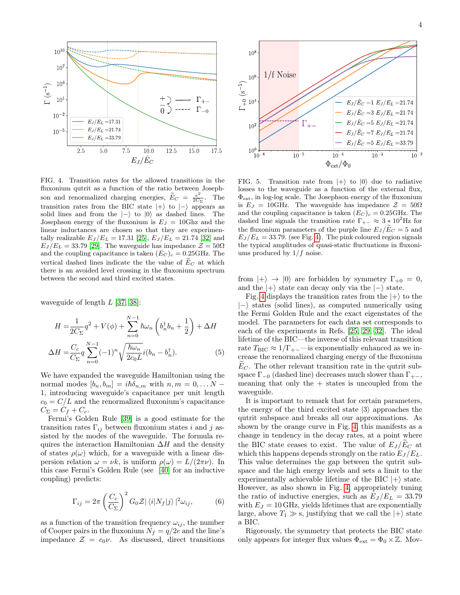

<span id="page-3-0"></span>FIG. 4. Transition rates for the allowed transitions in the fluxonium qutrit as a function of the ratio between Josephson and renormalized charging energies,  $\widetilde{E}_C = \frac{e^2}{2C_2}$  $rac{e^2}{2C_{\Sigma}}$ . The transition rates from the BIC state  $|+\rangle$  to  $|-\rangle$  appears as solid lines and from the  $|-\rangle$  to  $|0\rangle$  as dashed lines. The Josephson energy of the fluxonium is  $E_J = 10 \text{Ghz}$  and the linear inductances are chosen so that they are experimentally realizable  $E_J/E_L = 17.31$  [\[25\]](#page-6-11),  $E_J/E_L = 21.74$  [\[32\]](#page-6-18) and  $E_J/E_L = 33.79$  [\[29\]](#page-6-15). The waveguide has impedance  $\mathcal{Z} = 50\Omega$ and the coupling capacitance is taken  $(E_C)_c = 0.25 \text{GHz}$ . The vertical dashed lines indicate the the value of  $\tilde{E}_C$  at which there is an avoided level crossing in the fluxonium spectrum between the second and third excited states.

waveguide of length  $L$  [\[37,](#page-6-23) [38\]](#page-6-24):

$$
H = \frac{1}{2C_{\Sigma}}q^2 + V(\phi) + \sum_{n=0}^{N-1} \hbar \omega_n \left(b_n^{\dagger} b_n + \frac{1}{2}\right) + \Delta H
$$
  

$$
\Delta H = \frac{C_c}{C_{\Sigma}} q \sum_{n=0}^{N-1} (-1)^n \sqrt{\frac{\hbar \omega_n}{2c_0 L}} i(b_n - b_n^{\dagger}).
$$
 (5)

We have expanded the waveguide Hamiltonian using the normal modes  $[b_n, b_m] = i\hbar\delta_{n,m}$  with  $n, m = 0, \ldots N -$ 1, introducing waveguide's capacitance per unit length  $c_0 = C/L$  and the renormalized fluxonium's capacitance  $C_{\Sigma} = C_f + C_c.$ 

Fermi's Golden Rule [\[39\]](#page-6-25) is a good estimate for the transition rates  $\Gamma_{ij}$  between fluxonium states i and j assisted by the modes of the waveguide. The formula requires the interaction Hamiltonian  $\Delta H$  and the density of states  $\rho(\omega)$  which, for a waveguide with a linear dispersion relation  $\omega = \nu k$ , is uniform  $\rho(\omega) = L/(2\pi\nu)$ . In this case Fermi's Golden Rule (see [\[40\]](#page-6-26) for an inductive coupling) predicts:

$$
\Gamma_{ij} = 2\pi \left(\frac{C_c}{C_{\Sigma}}\right)^2 G_0 \mathcal{Z} |\langle i|N_f|j\rangle|^2 \omega_{ij},\tag{6}
$$

as a function of the transition frequency  $\omega_{ij}$ , the number of Cooper pairs in the fluxonium  $N_f = q/2e$  and the line's impedance  $\mathcal{Z} = c_0 \nu$ . As discussed, direct transitions



<span id="page-3-1"></span>FIG. 5. Transition rate from  $|+\rangle$  to  $|0\rangle$  due to radiative losses to the waveguide as a function of the external flux, Φext, in log-log scale. The Josephson energy of the fluxonium is  $E_J = 10 \text{GHz}$ . The waveguide has impedance  $\mathcal{Z} = 50 \Omega$ and the coupling capacitance is taken  $(E_C)_c = 0.25 \text{GHz}$ . The dashed line signals the transition rate  $\Gamma_{+-} \approx 3 * 10^2$  Hz for the fluxonium parameters of the purple line  $E_J/\tilde{E}_C = 5$  and  $E_J/E_L = 33.79$ . (see Fig. [4\)](#page-3-0). The pink coloured region signals the typical amplitudes of quasi-static fluctuations in fluxoniums produced by  $1/f$  noise.

from  $|+\rangle \rightarrow |0\rangle$  are forbidden by symmetry  $\Gamma_{+0} = 0$ , and the  $|+\rangle$  state can decay only via the  $|-\rangle$  state.

Fig. [4](#page-3-0) displays the transition rates from the  $|+\rangle$  to the  $|-\rangle$  states (solid lines), as computed numerically using the Fermi Golden Rule and the exact eigenstates of the model. The parameters for each data set corresponds to each of the experiments in Refs. [\[25,](#page-6-11) [29,](#page-6-15) [32\]](#page-6-18). The ideal lifetime of the BIC—the inverse of this relevant transition rate  $T_{\text{BIC}} \approx 1/\Gamma_{+-}$  is exponentially enhanced as we increase the renormalized charging energy of the fluxonium  $E<sub>C</sub>$ . The other relevant transition rate in the qutrit subspace  $\Gamma_{-0}$  (dashed line) decreases much slower than  $\Gamma_{+-}$ , meaning that only the  $+$  states is uncoupled from the waveguide.

It is important to remark that for certain parameters, the energy of the third excited state  $|3\rangle$  approaches the qutrit subspace and breaks all our approximations. As shown by the orange curve in Fig. [4,](#page-3-0) this manifests as a change in tendency in the decay rates, at a point where the BIC state ceases to exist. The value of  $E_J/E_C$  at which this happens depends strongly on the ratio  $E_J/E_L$ . This value determines the gap between the qutrit subspace and the high energy levels and sets a limit to the experimentally achievable lifetime of the BIC  $|+\rangle$  state. However, as also shown in Fig. [4,](#page-3-0) appropriately tuning the ratio of inductive energies, such as  $E_J/E_L = 33.79$ with  $E_J = 10$  GHz, yields lifetimes that are exponentially large, above  $T_1 \gg s$ , justifying that we call the  $|+\rangle$  state a BIC.

Rigorously, the symmetry that protects the BIC state only appears for integer flux values  $\Phi_{\text{ext}} = \Phi_0 \times \mathbb{Z}$ . Mov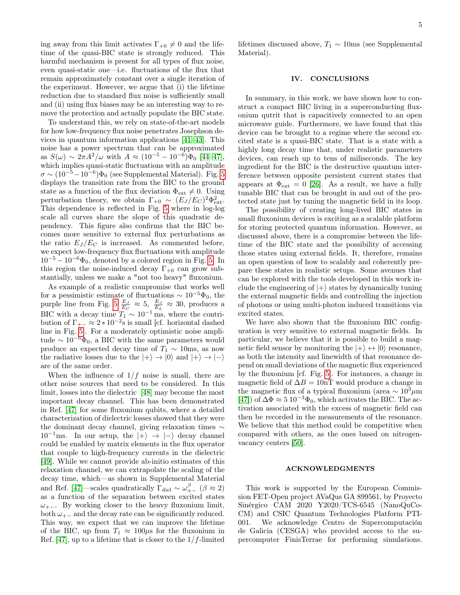ing away from this limit activates  $\Gamma_{+0} \neq 0$  and the lifetime of the quasi-BIC state is strongly reduced. This harmful mechanism is present for all types of flux noise, even quasi-static one—i.e. fluctuations of the flux that remain approximately constant over a single iteration of the experiment. However, we argue that (i) the lifetime reduction due to standard flux noise is sufficiently small and (ii) using flux biases may be an interesting way to remove the protection and actually populate the BIC state.

To understand this, we rely on state-of-the-art models for how low-frequency flux noise penetrates Josephson devices in quantum information applications [\[41](#page-7-0)[–43\]](#page-7-1). This noise has a power spectrum that can be approximated as  $S(\omega) \sim 2\pi A^2/\omega$  with  $A \approx (10^{-5} - 10^{-6})\Phi_0$  [44-[47\]](#page-7-3), which implies quasi-static fluctuations with an amplitude  $\sigma \sim (10^{-5}-10^{-6})\Phi_0$  (see Supplemental Material). Fig. [5](#page-3-1) displays the transition rate from the BIC to the ground state as a function of the flux deviation  $\Phi_{ext} \neq 0$ . Using perturbation theory, we obtain  $\Gamma_{+0} \sim (E_J/E_C)^2 \Phi_{\text{ext}}^2$ . This dependence is reflected in Fig. [5](#page-3-1) where in log-log scale all curves share the slope of this quadratic dependency. This figure also confirms that the BIC becomes more sensitive to external flux perturbations as the ratio  $E_J/E_C$  is increased. As commented before, we expect low-frequency flux fluctuations with amplitude  $10^{-5} - 10^{-6} \Phi_0$ , denoted by a colored region in Fig. [5.](#page-3-1) In this region the noise-induced decay  $\Gamma_{+0}$  can grow substantially, unless we make a "not too heavy" fluxonium.

As example of a realistic compromise that works well for a pessimistic estimate of fluctuations  $\sim 10^{-5}\Phi_0$ , the purple line from Fig. [5](#page-3-1)  $\frac{E_J}{E_C} \approx 5$ ,  $\frac{E_J}{E_L} \approx 30$ , produces a BIC with a decay time  $T_1 \sim 10^{-1}$  ms, where the contribution of  $\Gamma_{+-} \approx 2 * 10^{-2}$ s is small [cf. horizontal dashed line in Fig. [5\]](#page-3-1). For a moderately optimistic noise amplitude  $\sim 10^{-6} \dot{\Phi}_0$ , a BIC with the same parameters would produce an expected decay time of  $T_1 \sim 10$ ms, as now the radiative losses due to the  $|+\rangle \rightarrow |0\rangle$  and  $|+\rangle \rightarrow |-\rangle$ are of the same order.

When the influence of  $1/f$  noise is small, there are other noise sources that need to be considered. In this limit, losses into the dielectric [\[48\]](#page-7-4) may become the most important decay channel. This has been demonstrated in Ref. [\[47\]](#page-7-3) for some fluxonium qubits, where a detailed characterization of dielectric losses showed that they were the dominant decay channel, giving relaxation times ∼  $10^{-1}$ ms. In our setup, the  $|+\rangle \rightarrow |-\rangle$  decay channel could be enabled by matrix elements in the flux operator that couple to high-frequency currents in the dielectric [\[49\]](#page-7-5). While we cannot provide ab-initio estimates of this relaxation channel, we can extrapolate the scaling of the decay time, which—as shown in Supplemental Material and Ref. [\[47\]](#page-7-3)—scales quadratically  $\Gamma_{diel} \sim \omega_{+-}^{\beta}$  ( $\beta \approx 2$ ) as a function of the separation between excited states  $\omega_{+-}$ . By working closer to the heavy fluxonium limit, both  $\omega_{+-}$  and the decay rate can be significantly reduced. This way, we expect that we can improve the lifetime of the BIC, up from  $T_1 \approx 100 \mu s$  for the fluxonium in Ref. [\[47\]](#page-7-3), up to a lifetime that is closer to the  $1/f$ -limited

lifetimes discussed above,  $T_1 \sim 10$ ms (see Supplemental Material).

# IV. CONCLUSIONS

In summary, in this work, we have shown how to construct a compact BIC living in a superconducting fluxonium qutrit that is capacitively connected to an open microwave guide. Furthermore, we have found that this device can be brought to a regime where the second excited state is a quasi-BIC state. That is a state with a highly long decay time that, under realistic parameters devices, can reach up to tens of miliseconds. The key ingredient for the BIC is the destructive quantum interference between opposite persistent current states that appears at  $\Phi_{\rm ext} = 0$  [\[26\]](#page-6-12). As a result, we have a fully tunable BIC that can be brought in and out of the protected state just by tuning the magnetic field in its loop.

The possibility of creating long-lived BIC states in small fluxonium devices is exciting as a scalable platform for storing protected quantum information. However, as discussed above, there is a compromise between the lifetime of the BIC state and the possibility of accessing those states using external fields. It, therefore, remains an open question of how to scalably and coherently prepare these states in realistic setups. Some avenues that can be explored with the tools developed in this work include the engineering of  $|+\rangle$  states by dynamically tuning the external magnetic fields and controlling the injection of photons or using multi-photon induced transitions via excited states.

We have also shown that the fluxonium BIC configuration is very sensitive to external magnetic fields. In particular, we believe that it is possible to build a magnetic field sensor by monitoring the  $|+\rangle \leftrightarrow |0\rangle$  resonance, as both the intensity and linewidth of that resonance depend on small deviations of the magnetic flux experienced by the fluxonium [cf. Fig. [5\]](#page-3-1). For instances, a change in magnetic field of  $\Delta B = 10$ nT would produce a change in the magnetic flux of a typical fluxonium (area  $\sim 10^3 \mu$ m [\[47\]](#page-7-3)) of  $\Delta \Phi \approx 5 \ 10^{-3} \Phi_0$ , which activates the BIC. The activation associated with the excess of magnetic field can then be recorded in the measurements of the resonance. We believe that this method could be competitive when compared with others, as the ones based on nitrogenvacancy centers [\[50\]](#page-7-6).

## ACKNOWLEDGMENTS

This work is supported by the European Commission FET-Open project AVaQus GA 899561, by Proyecto Sinérgico CAM 2020 Y2020/TCS-6545 (NanoQuCo-CM) and CSIC Quantum Technologies Platform PTI-001. We acknowledge Centro de Supercomputación de Galicia (CESGA) who provided access to the supercomputer FinisTerrae for performing simulations.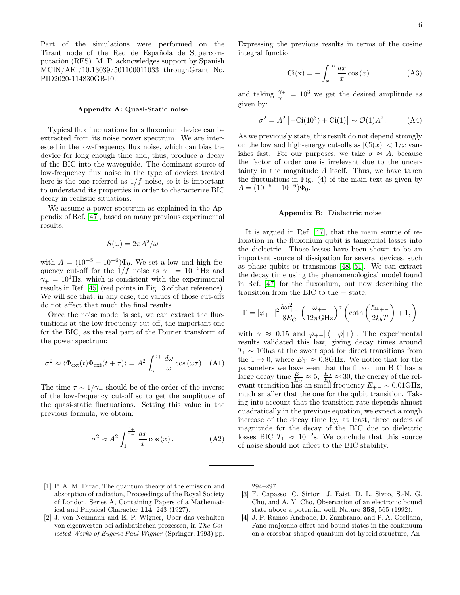Part of the simulations were performed on the Tirant node of the Red de Española de Supercomputación (RES). M. P. acknowledges support by Spanish MCIN/AEI/10.13039/501100011033 throughGrant No. PID2020-114830GB-I0.

### Appendix A: Quasi-Static noise

Typical flux fluctuations for a fluxonium device can be extracted from its noise power spectrum. We are interested in the low-frequency flux noise, which can bias the device for long enough time and, thus, produce a decay of the BIC into the waveguide. The dominant source of low-frequency flux noise in the type of devices treated here is the one referred as  $1/f$  noise, so it is important to understand its properties in order to characterize BIC decay in realistic situations.

We assume a power spectrum as explained in the Appendix of Ref. [\[47\]](#page-7-3), based on many previous experimental results:

$$
S(\omega) = 2\pi A^2/\omega
$$

with  $A = (10^{-5} - 10^{-6})\Phi_0$ . We set a low and high frequency cut-off for the  $1/f$  noise as  $\gamma = 10^{-2}$ Hz and  $\gamma_+ = 10^1$ Hz, which is consistent with the experimental results in Ref. [\[45\]](#page-7-7) (red points in Fig. 3 of that reference). We will see that, in any case, the values of those cut-offs do not affect that much the final results.

Once the noise model is set, we can extract the fluctuations at the low frequency cut-off, the important one for the BIC, as the real part of the Fourier transform of the power spectrum:

$$
\sigma^2 \approx \langle \Phi_{\text{ext}}(t)\Phi_{\text{ext}}(t+\tau) \rangle = A^2 \int_{\gamma_-}^{\gamma_+} \frac{d\omega}{\omega} \cos(\omega \tau). \tag{A1}
$$

The time  $\tau \sim 1/\gamma_-$  should be of the order of the inverse of the low-frequency cut-off so to get the amplitude of the quasi-static fluctuations. Setting this value in the previous formula, we obtain:

$$
\sigma^2 \approx A^2 \int_1^{\frac{\gamma_+}{\gamma_-}} \frac{dx}{x} \cos(x). \tag{A2}
$$

Expressing the previous results in terms of the cosine integral function

$$
Ci(x) = -\int_{x}^{\infty} \frac{dx}{x} \cos(x), \qquad (A3)
$$

and taking  $\frac{\gamma_+}{\gamma_-} = 10^3$  we get the desired amplitude as given by:

$$
\sigma^2 = A^2 \left[ -\text{Ci}(10^3) + \text{Ci}(1) \right] \sim \mathcal{O}(1) A^2. \tag{A4}
$$

As we previously state, this result do not depend strongly on the low and high-energy cut-offs as  $|Ci(x)| < 1/x$  vanishes fast. For our purposes, we take  $\sigma \approx A$ , because the factor of order one is irrelevant due to the uncertainty in the magnitude A itself. Thus, we have taken the fluctuations in Fig. (4) of the main text as given by  $A = (10^{-5} - 10^{-6})\Phi_0.$ 

### Appendix B: Dielectric noise

It is argued in Ref. [\[47\]](#page-7-3), that the main source of relaxation in the fluxonium qubit is tangential losses into the dielectric. Those losses have been shown to be an important source of dissipation for several devices, such as phase qubits or transmons [\[48,](#page-7-4) [51\]](#page-7-8). We can extract the decay time using the phenomenological model found in Ref. [\[47\]](#page-7-3) for the fluxonium, but now describing the transition from the BIC to the − state:

$$
\Gamma=|\varphi_{+-}|^2\frac{\hbar\omega_{+-}^2}{8E_C}\left(\frac{\omega_{+-}}{12\pi \mathrm{GHz}}\right)^{\gamma}\left(\mathrm{coth}\left(\frac{\hbar\omega_{+-}}{2k_bT}\right)+1,\right)
$$

with  $\gamma \approx 0.15$  and  $\varphi_{+-}|\langle -|\varphi|+\rangle|$ . The experimental results validated this law, giving decay times around  $T_1 \sim 100 \mu s$  at the sweet spot for direct transitions from the  $1 \rightarrow 0$ , where  $E_{01} \approx 0.8 \text{GHz}$ . We notice that for the parameters we have seen that the fluxonium BIC has a large decay time  $\frac{E_J}{E_C} \approx 5$ ,  $\frac{E_J}{E_L} \approx 30$ , the energy of the relevant transition has an small frequency  $E_{+-} \sim 0.01 \text{GHz}$ , much smaller that the one for the qubit transition. Taking into account that the transition rate depends almost quadratically in the previous equation, we expect a rough increase of the decay time by, at least, three orders of magnitude for the decay of the BIC due to dielectric losses BIC  $T_1 \approx 10^{-2}$ s. We conclude that this source of noise should not affect to the BIC stability.

- <span id="page-5-0"></span>[1] P. A. M. Dirac, The quantum theory of the emission and absorption of radiation, Proceedings of the Royal Society of London. Series A, Containing Papers of a Mathematical and Physical Character 114, 243 (1927).
- <span id="page-5-1"></span>[2] J. von Neumann and E. P. Wigner, Über das verhalten von eigenwerten bei adiabatischen prozessen, in The Collected Works of Eugene Paul Wigner (Springer, 1993) pp.

294–297.

- <span id="page-5-2"></span>[3] F. Capasso, C. Sirtori, J. Faist, D. L. Sivco, S.-N. G. Chu, and A. Y. Cho, Observation of an electronic bound state above a potential well, Nature 358, 565 (1992).
- [4] J. P. Ramos-Andrade, D. Zambrano, and P. A. Orellana, Fano-majorana effect and bound states in the continuum on a crossbar-shaped quantum dot hybrid structure, An-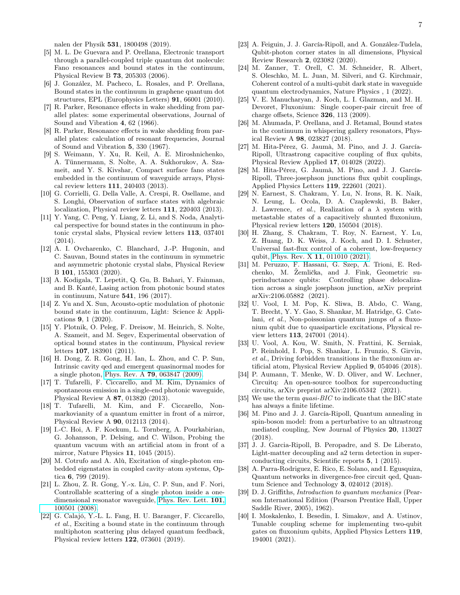nalen der Physik 531, 1800498 (2019).

- [5] M. L. De Guevara and P. Orellana, Electronic transport through a parallel-coupled triple quantum dot molecule: Fano resonances and bound states in the continuum, Physical Review B 73, 205303 (2006).
- <span id="page-6-0"></span>[6] J. González, M. Pacheco, L. Rosales, and P. Orellana, Bound states in the continuum in graphene quantum dot structures, EPL (Europhysics Letters) 91, 66001 (2010).
- <span id="page-6-1"></span>[7] R. Parker, Resonance effects in wake shedding from parallel plates: some experimental observations, Journal of Sound and Vibration 4, 62 (1966).
- <span id="page-6-2"></span>[8] R. Parker, Resonance effects in wake shedding from parallel plates: calculation of resonant frequencies, Journal of Sound and Vibration 5, 330 (1967).
- <span id="page-6-3"></span>[9] S. Weimann, Y. Xu, R. Keil, A. E. Miroshnichenko, A. Tünnermann, S. Nolte, A. A. Sukhorukov, A. Szameit, and Y. S. Kivshar, Compact surface fano states embedded in the continuum of waveguide arrays, Physical review letters 111, 240403 (2013).
- [10] G. Corrielli, G. Della Valle, A. Crespi, R. Osellame, and S. Longhi, Observation of surface states with algebraic localization, Physical review letters 111, 220403 (2013).
- [11] Y. Yang, C. Peng, Y. Liang, Z. Li, and S. Noda, Analytical perspective for bound states in the continuum in photonic crystal slabs, Physical review letters 113, 037401 (2014).
- [12] A. I. Ovcharenko, C. Blanchard, J.-P. Hugonin, and C. Sauvan, Bound states in the continuum in symmetric and asymmetric photonic crystal slabs, Physical Review B 101, 155303 (2020).
- [13] A. Kodigala, T. Lepetit, Q. Gu, B. Bahari, Y. Fainman, and B. Kanté, Lasing action from photonic bound states in continuum, Nature 541, 196 (2017).
- <span id="page-6-4"></span>[14] Z. Yu and X. Sun, Acousto-optic modulation of photonic bound state in the continuum, Light: Science & Applications 9, 1 (2020).
- <span id="page-6-5"></span>[15] Y. Plotnik, O. Peleg, F. Dreisow, M. Heinrich, S. Nolte, A. Szameit, and M. Segev, Experimental observation of optical bound states in the continuum, Physical review letters 107, 183901 (2011).
- <span id="page-6-6"></span>[16] H. Dong, Z. R. Gong, H. Ian, L. Zhou, and C. P. Sun, Intrinsic cavity qed and emergent quasinormal modes for a single photon, Phys. Rev. A 79[, 063847 \(2009\).](https://doi.org/10.1103/PhysRevA.79.063847)
- [17] T. Tufarelli, F. Ciccarello, and M. Kim, Dynamics of spontaneous emission in a single-end photonic waveguide, Physical Review A 87, 013820 (2013).
- [18] T. Tufarelli, M. Kim, and F. Ciccarello, Nonmarkovianity of a quantum emitter in front of a mirror, Physical Review A 90, 012113 (2014).
- [19] I.-C. Hoi, A. F. Kockum, L. Tornberg, A. Pourkabirian, G. Johansson, P. Delsing, and C. Wilson, Probing the quantum vacuum with an artificial atom in front of a mirror, Nature Physics 11, 1045 (2015).
- [20] M. Cotrufo and A. Alù, Excitation of single-photon embedded eigenstates in coupled cavity–atom systems, Optica 6, 799 (2019).
- <span id="page-6-7"></span>[21] L. Zhou, Z. R. Gong, Y.-x. Liu, C. P. Sun, and F. Nori, Controllable scattering of a single photon inside a onedimensional resonator waveguide, [Phys. Rev. Lett.](https://doi.org/10.1103/PhysRevLett.101.100501) 101, [100501 \(2008\).](https://doi.org/10.1103/PhysRevLett.101.100501)
- <span id="page-6-8"></span>[22] G. Calajó, Y.-L. L. Fang, H. U. Baranger, F. Ciccarello, et al., Exciting a bound state in the continuum through multiphoton scattering plus delayed quantum feedback, Physical review letters 122, 073601 (2019).
- <span id="page-6-9"></span>[23] A. Feiguin, J. J. García-Ripoll, and A. González-Tudela, Qubit-photon corner states in all dimensions, Physical Review Research 2, 023082 (2020).
- <span id="page-6-10"></span>[24] M. Zanner, T. Orell, C. M. Schneider, R. Albert, S. Oleschko, M. L. Juan, M. Silveri, and G. Kirchmair, Coherent control of a multi-qubit dark state in waveguide quantum electrodynamics, Nature Physics , 1 (2022).
- <span id="page-6-11"></span>[25] V. E. Manucharyan, J. Koch, L. I. Glazman, and M. H. Devoret, Fluxonium: Single cooper-pair circuit free of charge offsets, Science 326, 113 (2009).
- <span id="page-6-12"></span>[26] M. Ahumada, P. Orellana, and J. Retamal, Bound states in the continuum in whispering gallery resonators, Physical Review A 98, 023827 (2018).
- <span id="page-6-13"></span>[27] M. Hita-Pérez, G. Jaumà, M. Pino, and J. J. García-Ripoll, Ultrastrong capacitive coupling of flux qubits, Physical Review Applied 17, 014028 (2022).
- <span id="page-6-14"></span>[28] M. Hita-Pérez, G. Jaumà, M. Pino, and J. J. García-Ripoll, Three-josephson junctions flux qubit couplings, Applied Physics Letters 119, 222601 (2021).
- <span id="page-6-15"></span>[29] N. Earnest, S. Chakram, Y. Lu, N. Irons, R. K. Naik, N. Leung, L. Ocola, D. A. Czaplewski, B. Baker, J. Lawrence, et al., Realization of a  $\lambda$  system with metastable states of a capacitively shunted fluxonium, Physical review letters 120, 150504 (2018).
- <span id="page-6-16"></span>[30] H. Zhang, S. Chakram, T. Roy, N. Earnest, Y. Lu, Z. Huang, D. K. Weiss, J. Koch, and D. I. Schuster, Universal fast-flux control of a coherent, low-frequency qubit, Phys. Rev. X 11[, 011010 \(2021\).](https://doi.org/10.1103/PhysRevX.11.011010)
- <span id="page-6-17"></span>[31] M. Peruzzo, F. Hassani, G. Szep, A. Trioni, E. Redchenko, M. Žemlička, and J. Fink, Geometric superinductance qubits: Controlling phase delocalization across a single josephson junction, arXiv preprint arXiv:2106.05882 (2021).
- <span id="page-6-18"></span>[32] U. Vool, I. M. Pop, K. Sliwa, B. Abdo, C. Wang, T. Brecht, Y. Y. Gao, S. Shankar, M. Hatridge, G. Catelani, et al., Non-poissonian quantum jumps of a fluxonium qubit due to quasiparticle excitations, Physical review letters 113, 247001 (2014).
- <span id="page-6-19"></span>[33] U. Vool, A. Kou, W. Smith, N. Frattini, K. Serniak, P. Reinhold, I. Pop, S. Shankar, L. Frunzio, S. Girvin, et al., Driving forbidden transitions in the fluxonium artificial atom, Physical Review Applied 9, 054046 (2018).
- <span id="page-6-20"></span>[34] P. Aumann, T. Menke, W. D. Oliver, and W. Lechner, Circuitq: An open-source toolbox for superconducting circuits, arXiv preprint arXiv:2106.05342 (2021).
- <span id="page-6-21"></span>[35] We use the term *quasi-BIC* to indicate that the BIC state has always a finite lifetime.
- <span id="page-6-22"></span>[36] M. Pino and J. J. García-Ripoll, Quantum annealing in spin-boson model: from a perturbative to an ultrastrong mediated coupling, New Journal of Physics 20, 113027 (2018).
- <span id="page-6-23"></span>[37] J. J. Garcia-Ripoll, B. Peropadre, and S. De Liberato, Light-matter decoupling and a2 term detection in superconducting circuits, Scientific reports 5, 1 (2015).
- <span id="page-6-24"></span>[38] A. Parra-Rodriguez, E. Rico, E. Solano, and I. Egusquiza, Quantum networks in divergence-free circuit qed, Quantum Science and Technology 3, 024012 (2018).
- <span id="page-6-25"></span>[39] D. J. Griffiths, Introduction to quantum mechanics (Pearson International Edition (Pearson Prentice Hall, Upper Saddle River, 2005), 1962).
- <span id="page-6-26"></span>[40] I. Moskalenko, I. Besedin, I. Simakov, and A. Ustinov, Tunable coupling scheme for implementing two-qubit gates on fluxonium qubits, Applied Physics Letters 119, 194001 (2021).